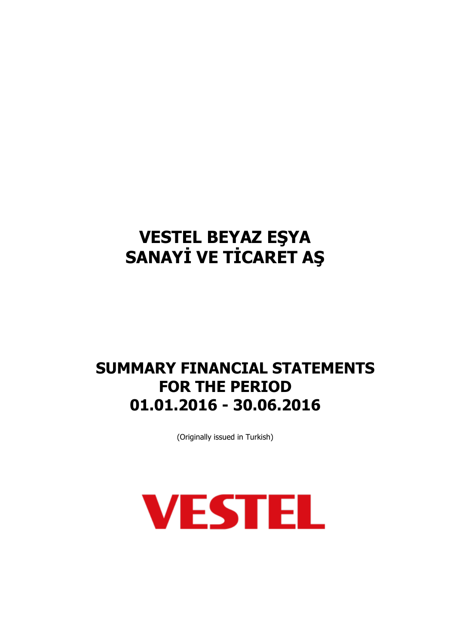## **SUMMARY FINANCIAL STATEMENTS FOR THE PERIOD 01.01.2016 - 30.06.2016**

(Originally issued in Turkish)

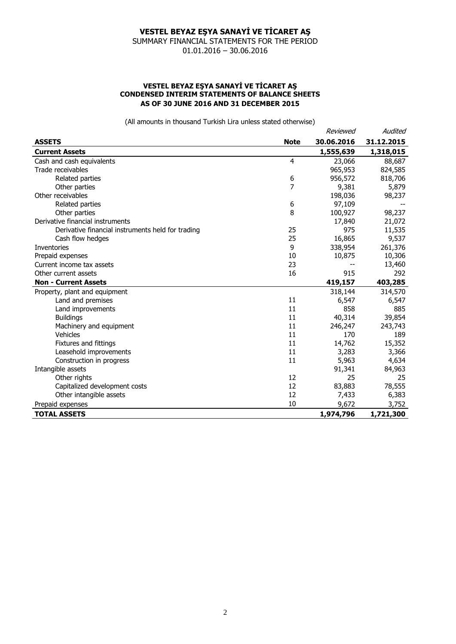SUMMARY FINANCIAL STATEMENTS FOR THE PERIOD 01.01.2016 – 30.06.2016

#### **VESTEL BEYAZ EŞYA SANAYİ VE TİCARET AŞ CONDENSED INTERIM STATEMENTS OF BALANCE SHEETS AS OF 30 JUNE 2016 AND 31 DECEMBER 2015**

|                                                   |                | Reviewed   | Audited    |
|---------------------------------------------------|----------------|------------|------------|
| <b>ASSETS</b>                                     | <b>Note</b>    | 30.06.2016 | 31.12.2015 |
| <b>Current Assets</b>                             |                | 1,555,639  | 1,318,015  |
| Cash and cash equivalents                         | $\overline{4}$ | 23,066     | 88,687     |
| Trade receivables                                 |                | 965,953    | 824,585    |
| Related parties                                   | 6              | 956,572    | 818,706    |
| Other parties                                     | 7              | 9,381      | 5,879      |
| Other receivables                                 |                | 198,036    | 98,237     |
| Related parties                                   | 6              | 97,109     |            |
| Other parties                                     | 8              | 100,927    | 98,237     |
| Derivative financial instruments                  |                | 17,840     | 21,072     |
| Derivative financial instruments held for trading | 25             | 975        | 11,535     |
| Cash flow hedges                                  | 25             | 16,865     | 9,537      |
| Inventories                                       | 9              | 338,954    | 261,376    |
| Prepaid expenses                                  | 10             | 10,875     | 10,306     |
| Current income tax assets                         | 23             |            | 13,460     |
| Other current assets                              | 16             | 915        | 292        |
| <b>Non - Current Assets</b>                       |                | 419,157    | 403,285    |
| Property, plant and equipment                     |                | 318,144    | 314,570    |
| Land and premises                                 | 11             | 6,547      | 6,547      |
| Land improvements                                 | 11             | 858        | 885        |
| <b>Buildings</b>                                  | 11             | 40,314     | 39,854     |
| Machinery and equipment                           | 11             | 246,247    | 243,743    |
| <b>Vehicles</b>                                   | 11             | 170        | 189        |
| <b>Fixtures and fittings</b>                      | 11             | 14,762     | 15,352     |
| Leasehold improvements                            | 11             | 3,283      | 3,366      |
| Construction in progress                          | 11             | 5,963      | 4,634      |
| Intangible assets                                 |                | 91,341     | 84,963     |
| Other rights                                      | 12             | 25         | 25         |
| Capitalized development costs                     | 12             | 83,883     | 78,555     |
| Other intangible assets                           | 12             | 7,433      | 6,383      |
| Prepaid expenses                                  | 10             | 9,672      | 3,752      |
| <b>TOTAL ASSETS</b>                               |                | 1,974,796  | 1,721,300  |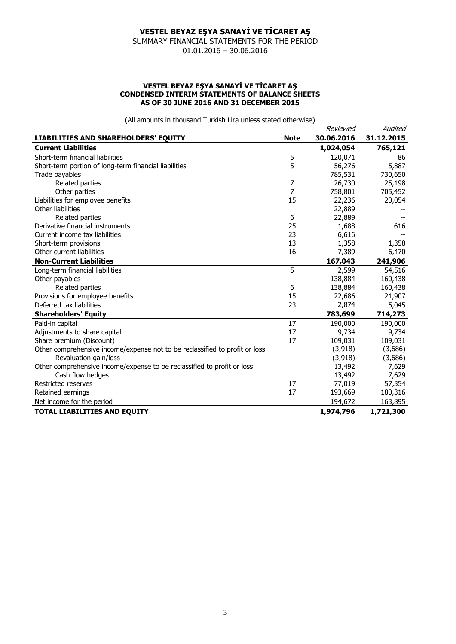SUMMARY FINANCIAL STATEMENTS FOR THE PERIOD 01.01.2016 – 30.06.2016

#### **VESTEL BEYAZ EŞYA SANAYİ VE TİCARET AŞ CONDENSED INTERIM STATEMENTS OF BALANCE SHEETS AS OF 30 JUNE 2016 AND 31 DECEMBER 2015**

|                                                                             |             | Reviewed   | Audited    |
|-----------------------------------------------------------------------------|-------------|------------|------------|
| <b>LIABILITIES AND SHAREHOLDERS' EQUITY</b>                                 | <b>Note</b> | 30.06.2016 | 31.12.2015 |
| <b>Current Liabilities</b>                                                  |             | 1,024,054  | 765,121    |
| Short-term financial liabilities                                            | 5           | 120,071    | 86         |
| Short-term portion of long-term financial liabilities                       | 5           | 56,276     | 5,887      |
| Trade payables                                                              |             | 785,531    | 730,650    |
| Related parties                                                             | 7           | 26,730     | 25,198     |
| Other parties                                                               | 7           | 758,801    | 705,452    |
| Liabilities for employee benefits                                           | 15          | 22,236     | 20,054     |
| Other liabilities                                                           |             | 22,889     |            |
| Related parties                                                             | 6           | 22,889     |            |
| Derivative financial instruments                                            | 25          | 1,688      | 616        |
| Current income tax liabilities                                              | 23          | 6,616      |            |
| Short-term provisions                                                       | 13          | 1,358      | 1,358      |
| Other current liabilities                                                   | 16          | 7,389      | 6,470      |
| <b>Non-Current Liabilities</b>                                              |             | 167,043    | 241,906    |
| Long-term financial liabilities                                             | 5           | 2,599      | 54,516     |
| Other payables                                                              |             | 138,884    | 160,438    |
| Related parties                                                             | 6           | 138,884    | 160,438    |
| Provisions for employee benefits                                            | 15          | 22,686     | 21,907     |
| Deferred tax liabilities                                                    | 23          | 2,874      | 5,045      |
| <b>Shareholders' Equity</b>                                                 |             | 783,699    | 714,273    |
| Paid-in capital                                                             | 17          | 190,000    | 190,000    |
| Adjustments to share capital                                                | 17          | 9,734      | 9,734      |
| Share premium (Discount)                                                    | 17          | 109,031    | 109,031    |
| Other comprehensive income/expense not to be reclassified to profit or loss |             | (3, 918)   | (3,686)    |
| Revaluation gain/loss                                                       |             | (3, 918)   | (3,686)    |
| Other comprehensive income/expense to be reclassified to profit or loss     |             | 13,492     | 7,629      |
| Cash flow hedges                                                            |             | 13,492     | 7,629      |
| Restricted reserves                                                         | 17          | 77,019     | 57,354     |
| Retained earnings                                                           | 17          | 193,669    | 180,316    |
| Net income for the period                                                   |             | 194,672    | 163,895    |
| TOTAL LIABILITIES AND EQUITY                                                |             | 1,974,796  | 1,721,300  |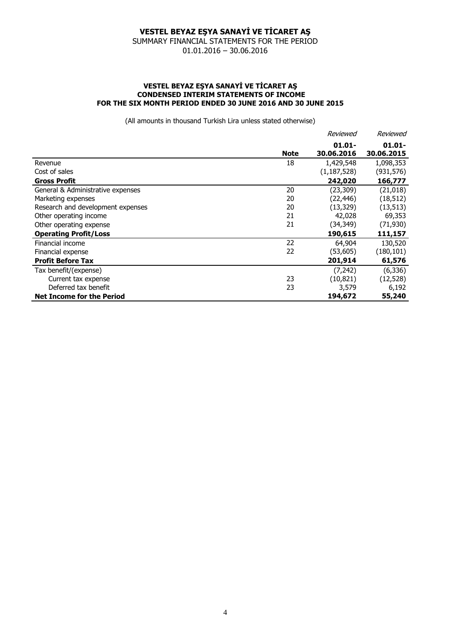SUMMARY FINANCIAL STATEMENTS FOR THE PERIOD 01.01.2016 – 30.06.2016

#### **VESTEL BEYAZ EŞYA SANAYİ VE TİCARET AŞ CONDENSED INTERIM STATEMENTS OF INCOME FOR THE SIX MONTH PERIOD ENDED 30 JUNE 2016 AND 30 JUNE 2015**

|                                   |             | Reviewed      | Reviewed   |
|-----------------------------------|-------------|---------------|------------|
|                                   |             | $01.01 -$     | $01.01 -$  |
|                                   | <b>Note</b> | 30.06.2016    | 30.06.2015 |
| Revenue                           | 18          | 1,429,548     | 1,098,353  |
| Cost of sales                     |             | (1, 187, 528) | (931, 576) |
| <b>Gross Profit</b>               |             | 242,020       | 166,777    |
| General & Administrative expenses | 20          | (23, 309)     | (21, 018)  |
| Marketing expenses                | 20          | (22, 446)     | (18, 512)  |
| Research and development expenses | 20          | (13, 329)     | (13, 513)  |
| Other operating income            | 21          | 42,028        | 69,353     |
| Other operating expense           | 21          | (34,349)      | (71, 930)  |
| <b>Operating Profit/Loss</b>      |             | 190,615       | 111,157    |
| Financial income                  | 22          | 64,904        | 130,520    |
| Financial expense                 | 22          | (53,605)      | (180, 101) |
| <b>Profit Before Tax</b>          |             | 201,914       | 61,576     |
| Tax benefit/(expense)             |             | (7, 242)      | (6, 336)   |
| Current tax expense               | 23          | (10, 821)     | (12, 528)  |
| Deferred tax benefit              | 23          | 3,579         | 6,192      |
| <b>Net Income for the Period</b>  |             | 194,672       | 55,240     |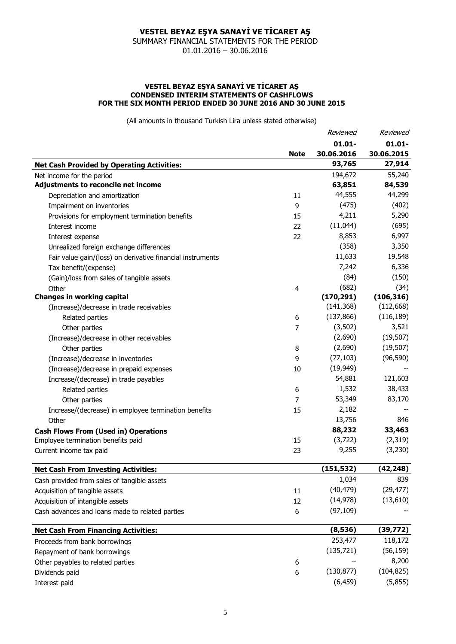SUMMARY FINANCIAL STATEMENTS FOR THE PERIOD 01.01.2016 – 30.06.2016

#### **VESTEL BEYAZ EŞYA SANAYİ VE TİCARET AŞ CONDENSED INTERIM STATEMENTS OF CASHFLOWS FOR THE SIX MONTH PERIOD ENDED 30 JUNE 2016 AND 30 JUNE 2015**

|                                                            |                | Reviewed   | Reviewed   |
|------------------------------------------------------------|----------------|------------|------------|
|                                                            |                | $01.01 -$  | $01.01 -$  |
|                                                            | <b>Note</b>    | 30.06.2016 | 30.06.2015 |
| <b>Net Cash Provided by Operating Activities:</b>          |                | 93,765     | 27,914     |
| Net income for the period                                  |                | 194,672    | 55,240     |
| Adjustments to reconcile net income                        |                | 63,851     | 84,539     |
| Depreciation and amortization                              | 11             | 44,555     | 44,299     |
| Impairment on inventories                                  | 9              | (475)      | (402)      |
| Provisions for employment termination benefits             | 15             | 4,211      | 5,290      |
| Interest income                                            | 22             | (11,044)   | (695)      |
| Interest expense                                           | 22             | 8,853      | 6,997      |
| Unrealized foreign exchange differences                    |                | (358)      | 3,350      |
| Fair value gain/(loss) on derivative financial instruments |                | 11,633     | 19,548     |
| Tax benefit/(expense)                                      |                | 7,242      | 6,336      |
| (Gain)/loss from sales of tangible assets                  |                | (84)       | (150)      |
| Other                                                      | $\overline{4}$ | (682)      | (34)       |
| <b>Changes in working capital</b>                          |                | (170, 291) | (106, 316) |
| (Increase)/decrease in trade receivables                   |                | (141, 368) | (112, 668) |
| Related parties                                            | 6              | (137, 866) | (116, 189) |
| Other parties                                              | $\overline{7}$ | (3,502)    | 3,521      |
| (Increase)/decrease in other receivables                   |                | (2,690)    | (19, 507)  |
| Other parties                                              | 8              | (2,690)    | (19, 507)  |
| (Increase)/decrease in inventories                         | 9              | (77, 103)  | (96, 590)  |
| (Increase)/decrease in prepaid expenses                    | 10             | (19, 949)  |            |
| Increase/(decrease) in trade payables                      |                | 54,881     | 121,603    |
| Related parties                                            | 6              | 1,532      | 38,433     |
| Other parties                                              | $\overline{7}$ | 53,349     | 83,170     |
| Increase/(decrease) in employee termination benefits       | 15             | 2,182      |            |
| Other                                                      |                | 13,756     | 846        |
| <b>Cash Flows From (Used in) Operations</b>                |                | 88,232     | 33,463     |
| Employee termination benefits paid                         | 15             | (3, 722)   | (2, 319)   |
| Current income tax paid                                    | 23             | 9,255      | (3, 230)   |
| <b>Net Cash From Investing Activities:</b>                 |                | (151, 532) | (42, 248)  |
| Cash provided from sales of tangible assets                |                | 1,034      | 839        |
| Acquisition of tangible assets                             | 11             | (40, 479)  | (29, 477)  |
| Acquisition of intangible assets                           | 12             | (14, 978)  | (13,610)   |
| Cash advances and loans made to related parties            | 6              | (97, 109)  |            |
| <b>Net Cash From Financing Activities:</b>                 |                | (8,536)    | (39, 772)  |
| Proceeds from bank borrowings                              |                | 253,477    | 118,172    |
| Repayment of bank borrowings                               |                | (135, 721) | (56, 159)  |
| Other payables to related parties                          | 6              |            | 8,200      |
| Dividends paid                                             | 6              | (130, 877) | (104, 825) |
| Interest paid                                              |                | (6, 459)   | (5,855)    |